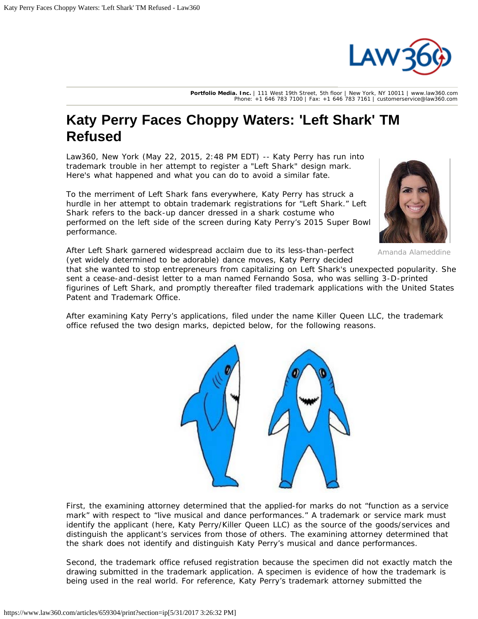

**Portfolio Media. Inc.** | 111 West 19th Street, 5th floor | New York, NY 10011 | www.law360.com Phone: +1 646 783 7100 | Fax: +1 646 783 7161 | customerservice@law360.com

## **Katy Perry Faces Choppy Waters: 'Left Shark' TM Refused**

Law360, New York (May 22, 2015, 2:48 PM EDT) -- Katy Perry has run into trademark trouble in her attempt to register a "Left Shark" design mark. Here's what happened and what you can do to avoid a similar fate.

To the merriment of Left Shark fans everywhere, Katy Perry has struck a hurdle in her attempt to obtain trademark registrations for "Left Shark." Left Shark refers to the back-up dancer dressed in a shark costume who performed on the left side of the screen during Katy Perry's 2015 Super Bowl performance.



Amanda Alameddine

After Left Shark garnered widespread acclaim due to its less-than-perfect (yet widely determined to be adorable) dance moves, Katy Perry decided

that she wanted to stop entrepreneurs from capitalizing on Left Shark's unexpected popularity. She sent a cease-and-desist letter to a man named Fernando Sosa, who was selling 3-D-printed figurines of Left Shark, and promptly thereafter filed trademark applications with the [United States](https://www.law360.com/agencies/u-s-patent-and-trademark-office) [Patent and Trademark Office](https://www.law360.com/agencies/u-s-patent-and-trademark-office).

After examining Katy Perry's applications, filed under the name Killer Queen LLC, the trademark office refused the two design marks, depicted below, for the following reasons.



First, the examining attorney determined that the applied-for marks do not "function as a service mark" with respect to "live musical and dance performances." A trademark or service mark must identify the applicant (here, Katy Perry/Killer Queen LLC) as the source of the goods/services and distinguish the applicant's services from those of others. The examining attorney determined that the shark does not identify and distinguish Katy Perry's musical and dance performances.

Second, the trademark office refused registration because the specimen did not exactly match the drawing submitted in the trademark application. A specimen is evidence of how the trademark is being used in the real world. For reference, Katy Perry's trademark attorney submitted the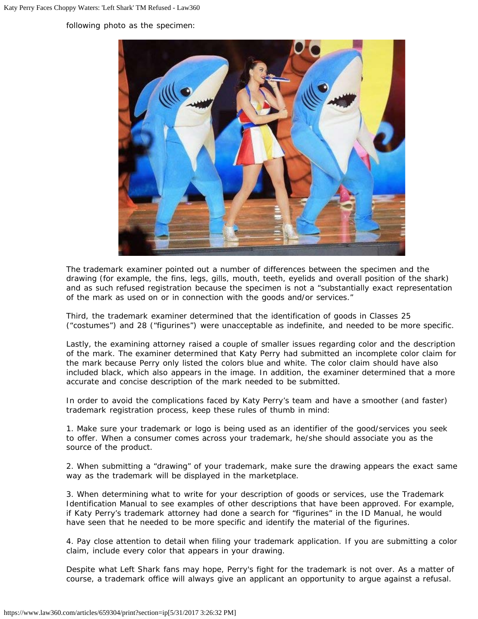following photo as the specimen:



The trademark examiner pointed out a number of differences between the specimen and the drawing (for example, the fins, legs, gills, mouth, teeth, eyelids and overall position of the shark) and as such refused registration because the specimen is not a "substantially exact representation of the mark as used on or in connection with the goods and/or services."

Third, the trademark examiner determined that the identification of goods in Classes 25 ("costumes") and 28 ("figurines") were unacceptable as indefinite, and needed to be more specific.

Lastly, the examining attorney raised a couple of smaller issues regarding color and the description of the mark. The examiner determined that Katy Perry had submitted an incomplete color claim for the mark because Perry only listed the colors blue and white. The color claim should have also included black, which also appears in the image. In addition, the examiner determined that a more accurate and concise description of the mark needed to be submitted.

In order to avoid the complications faced by Katy Perry's team and have a smoother (and faster) trademark registration process, keep these rules of thumb in mind:

1. Make sure your trademark or logo is being used as an identifier of the good/services you seek to offer. When a consumer comes across your trademark, he/she should associate you as the source of the product.

2. When submitting a "drawing" of your trademark, make sure the drawing appears the exact same way as the trademark will be displayed in the marketplace.

3. When determining what to write for your description of goods or services, use the Trademark Identification Manual to see examples of other descriptions that have been approved. For example, if Katy Perry's trademark attorney had done a search for "figurines" in the ID Manual, he would have seen that he needed to be more specific and identify the material of the figurines.

4. Pay close attention to detail when filing your trademark application. If you are submitting a color claim, include every color that appears in your drawing.

Despite what Left Shark fans may hope, Perry's fight for the trademark is not over. As a matter of course, a trademark office will always give an applicant an opportunity to argue against a refusal.